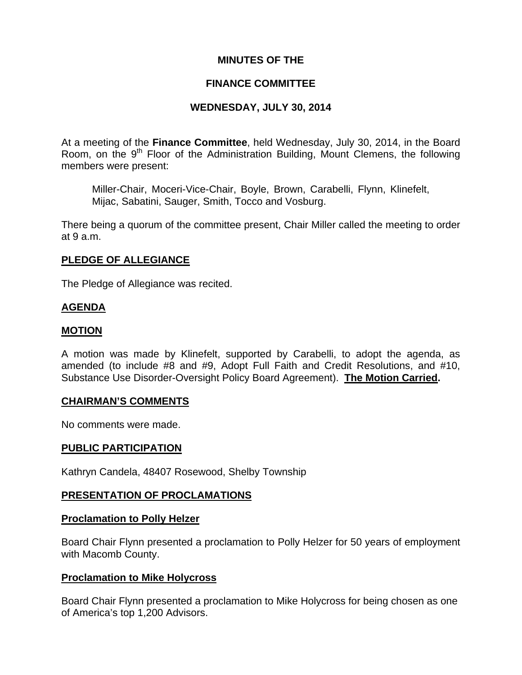### **MINUTES OF THE**

### **FINANCE COMMITTEE**

### **WEDNESDAY, JULY 30, 2014**

At a meeting of the **Finance Committee**, held Wednesday, July 30, 2014, in the Board Room, on the  $9<sup>th</sup>$  Floor of the Administration Building, Mount Clemens, the following members were present:

Miller-Chair, Moceri-Vice-Chair, Boyle, Brown, Carabelli, Flynn, Klinefelt, Mijac, Sabatini, Sauger, Smith, Tocco and Vosburg.

There being a quorum of the committee present, Chair Miller called the meeting to order at 9 a.m.

### **PLEDGE OF ALLEGIANCE**

The Pledge of Allegiance was recited.

### **AGENDA**

### **MOTION**

A motion was made by Klinefelt, supported by Carabelli, to adopt the agenda, as amended (to include #8 and #9, Adopt Full Faith and Credit Resolutions, and #10, Substance Use Disorder-Oversight Policy Board Agreement). **The Motion Carried.** 

#### **CHAIRMAN'S COMMENTS**

No comments were made.

#### **PUBLIC PARTICIPATION**

Kathryn Candela, 48407 Rosewood, Shelby Township

#### **PRESENTATION OF PROCLAMATIONS**

#### **Proclamation to Polly Helzer**

Board Chair Flynn presented a proclamation to Polly Helzer for 50 years of employment with Macomb County.

#### **Proclamation to Mike Holycross**

Board Chair Flynn presented a proclamation to Mike Holycross for being chosen as one of America's top 1,200 Advisors.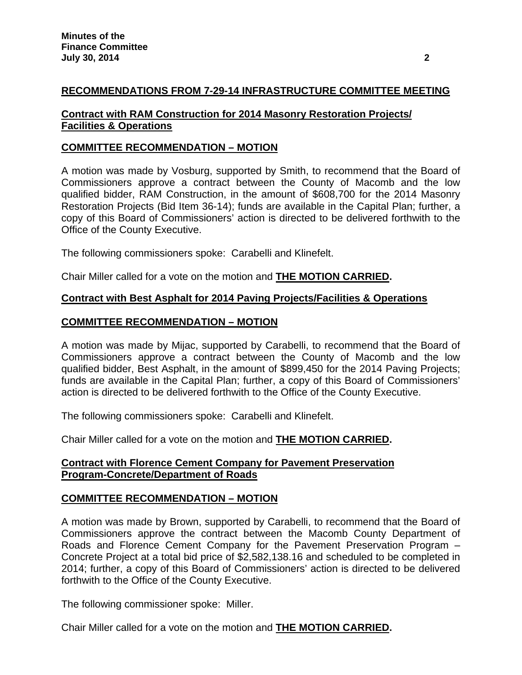# **RECOMMENDATIONS FROM 7-29-14 INFRASTRUCTURE COMMITTEE MEETING**

## **Contract with RAM Construction for 2014 Masonry Restoration Projects/ Facilities & Operations**

## **COMMITTEE RECOMMENDATION – MOTION**

A motion was made by Vosburg, supported by Smith, to recommend that the Board of Commissioners approve a contract between the County of Macomb and the low qualified bidder, RAM Construction, in the amount of \$608,700 for the 2014 Masonry Restoration Projects (Bid Item 36-14); funds are available in the Capital Plan; further, a copy of this Board of Commissioners' action is directed to be delivered forthwith to the Office of the County Executive.

The following commissioners spoke: Carabelli and Klinefelt.

Chair Miller called for a vote on the motion and **THE MOTION CARRIED.**

## **Contract with Best Asphalt for 2014 Paving Projects/Facilities & Operations**

## **COMMITTEE RECOMMENDATION – MOTION**

A motion was made by Mijac, supported by Carabelli, to recommend that the Board of Commissioners approve a contract between the County of Macomb and the low qualified bidder, Best Asphalt, in the amount of \$899,450 for the 2014 Paving Projects; funds are available in the Capital Plan; further, a copy of this Board of Commissioners' action is directed to be delivered forthwith to the Office of the County Executive.

The following commissioners spoke: Carabelli and Klinefelt.

Chair Miller called for a vote on the motion and **THE MOTION CARRIED.**

### **Contract with Florence Cement Company for Pavement Preservation Program-Concrete/Department of Roads**

## **COMMITTEE RECOMMENDATION – MOTION**

A motion was made by Brown, supported by Carabelli, to recommend that the Board of Commissioners approve the contract between the Macomb County Department of Roads and Florence Cement Company for the Pavement Preservation Program – Concrete Project at a total bid price of \$2,582,138.16 and scheduled to be completed in 2014; further, a copy of this Board of Commissioners' action is directed to be delivered forthwith to the Office of the County Executive.

The following commissioner spoke: Miller.

Chair Miller called for a vote on the motion and **THE MOTION CARRIED.**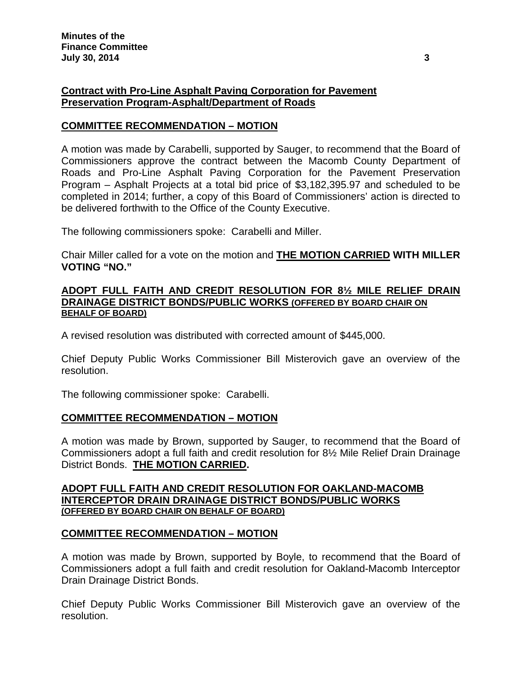## **Contract with Pro-Line Asphalt Paving Corporation for Pavement Preservation Program-Asphalt/Department of Roads**

## **COMMITTEE RECOMMENDATION – MOTION**

A motion was made by Carabelli, supported by Sauger, to recommend that the Board of Commissioners approve the contract between the Macomb County Department of Roads and Pro-Line Asphalt Paving Corporation for the Pavement Preservation Program – Asphalt Projects at a total bid price of \$3,182,395.97 and scheduled to be completed in 2014; further, a copy of this Board of Commissioners' action is directed to be delivered forthwith to the Office of the County Executive.

The following commissioners spoke: Carabelli and Miller.

Chair Miller called for a vote on the motion and **THE MOTION CARRIED WITH MILLER VOTING "NO."**

#### **ADOPT FULL FAITH AND CREDIT RESOLUTION FOR 8½ MILE RELIEF DRAIN DRAINAGE DISTRICT BONDS/PUBLIC WORKS (OFFERED BY BOARD CHAIR ON BEHALF OF BOARD)**

A revised resolution was distributed with corrected amount of \$445,000.

Chief Deputy Public Works Commissioner Bill Misterovich gave an overview of the resolution.

The following commissioner spoke: Carabelli.

## **COMMITTEE RECOMMENDATION – MOTION**

A motion was made by Brown, supported by Sauger, to recommend that the Board of Commissioners adopt a full faith and credit resolution for 8½ Mile Relief Drain Drainage District Bonds. **THE MOTION CARRIED.** 

#### **ADOPT FULL FAITH AND CREDIT RESOLUTION FOR OAKLAND-MACOMB INTERCEPTOR DRAIN DRAINAGE DISTRICT BONDS/PUBLIC WORKS (OFFERED BY BOARD CHAIR ON BEHALF OF BOARD)**

#### **COMMITTEE RECOMMENDATION – MOTION**

A motion was made by Brown, supported by Boyle, to recommend that the Board of Commissioners adopt a full faith and credit resolution for Oakland-Macomb Interceptor Drain Drainage District Bonds.

Chief Deputy Public Works Commissioner Bill Misterovich gave an overview of the resolution.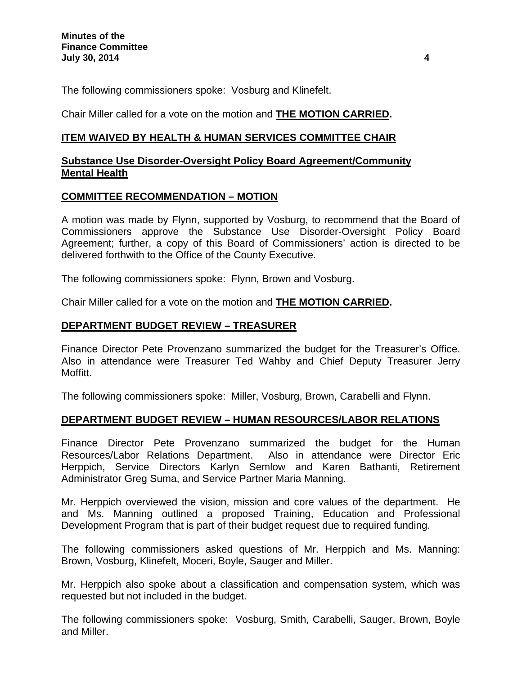The following commissioners spoke: Vosburg and Klinefelt.

Chair Miller called for a vote on the motion and **THE MOTION CARRIED.**

## **ITEM WAIVED BY HEALTH & HUMAN SERVICES COMMITTEE CHAIR**

### **Substance Use Disorder-Oversight Policy Board Agreement/Community Mental Health**

## **COMMITTEE RECOMMENDATION – MOTION**

A motion was made by Flynn, supported by Vosburg, to recommend that the Board of Commissioners approve the Substance Use Disorder-Oversight Policy Board Agreement; further, a copy of this Board of Commissioners' action is directed to be delivered forthwith to the Office of the County Executive.

The following commissioners spoke: Flynn, Brown and Vosburg.

Chair Miller called for a vote on the motion and **THE MOTION CARRIED.**

## **DEPARTMENT BUDGET REVIEW – TREASURER**

Finance Director Pete Provenzano summarized the budget for the Treasurer's Office. Also in attendance were Treasurer Ted Wahby and Chief Deputy Treasurer Jerry Moffitt.

The following commissioners spoke: Miller, Vosburg, Brown, Carabelli and Flynn.

## **DEPARTMENT BUDGET REVIEW – HUMAN RESOURCES/LABOR RELATIONS**

Finance Director Pete Provenzano summarized the budget for the Human Resources/Labor Relations Department. Also in attendance were Director Eric Herppich, Service Directors Karlyn Semlow and Karen Bathanti, Retirement Administrator Greg Suma, and Service Partner Maria Manning.

Mr. Herppich overviewed the vision, mission and core values of the department. He and Ms. Manning outlined a proposed Training, Education and Professional Development Program that is part of their budget request due to required funding.

The following commissioners asked questions of Mr. Herppich and Ms. Manning: Brown, Vosburg, Klinefelt, Moceri, Boyle, Sauger and Miller.

Mr. Herppich also spoke about a classification and compensation system, which was requested but not included in the budget.

The following commissioners spoke: Vosburg, Smith, Carabelli, Sauger, Brown, Boyle and Miller.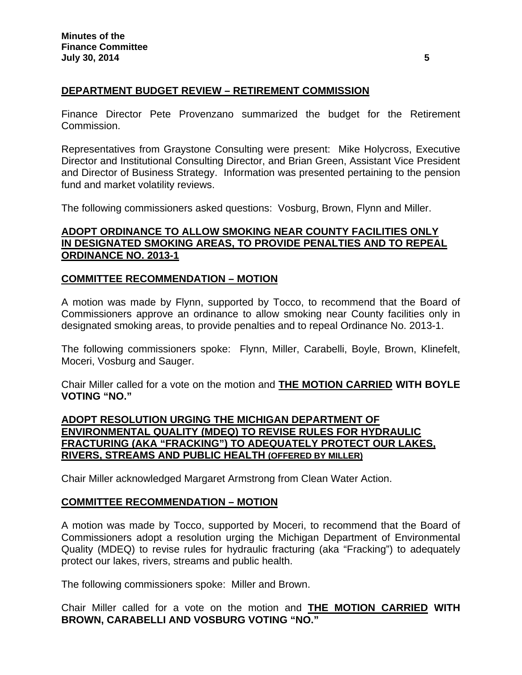## **DEPARTMENT BUDGET REVIEW – RETIREMENT COMMISSION**

Finance Director Pete Provenzano summarized the budget for the Retirement Commission.

Representatives from Graystone Consulting were present: Mike Holycross, Executive Director and Institutional Consulting Director, and Brian Green, Assistant Vice President and Director of Business Strategy. Information was presented pertaining to the pension fund and market volatility reviews.

The following commissioners asked questions: Vosburg, Brown, Flynn and Miller.

## **ADOPT ORDINANCE TO ALLOW SMOKING NEAR COUNTY FACILITIES ONLY IN DESIGNATED SMOKING AREAS, TO PROVIDE PENALTIES AND TO REPEAL ORDINANCE NO. 2013-1**

### **COMMITTEE RECOMMENDATION – MOTION**

A motion was made by Flynn, supported by Tocco, to recommend that the Board of Commissioners approve an ordinance to allow smoking near County facilities only in designated smoking areas, to provide penalties and to repeal Ordinance No. 2013-1.

The following commissioners spoke: Flynn, Miller, Carabelli, Boyle, Brown, Klinefelt, Moceri, Vosburg and Sauger.

Chair Miller called for a vote on the motion and **THE MOTION CARRIED WITH BOYLE VOTING "NO."** 

### **ADOPT RESOLUTION URGING THE MICHIGAN DEPARTMENT OF ENVIRONMENTAL QUALITY (MDEQ) TO REVISE RULES FOR HYDRAULIC FRACTURING (AKA "FRACKING") TO ADEQUATELY PROTECT OUR LAKES, RIVERS, STREAMS AND PUBLIC HEALTH (OFFERED BY MILLER)**

Chair Miller acknowledged Margaret Armstrong from Clean Water Action.

#### **COMMITTEE RECOMMENDATION – MOTION**

A motion was made by Tocco, supported by Moceri, to recommend that the Board of Commissioners adopt a resolution urging the Michigan Department of Environmental Quality (MDEQ) to revise rules for hydraulic fracturing (aka "Fracking") to adequately protect our lakes, rivers, streams and public health.

The following commissioners spoke: Miller and Brown.

Chair Miller called for a vote on the motion and **THE MOTION CARRIED WITH BROWN, CARABELLI AND VOSBURG VOTING "NO."**